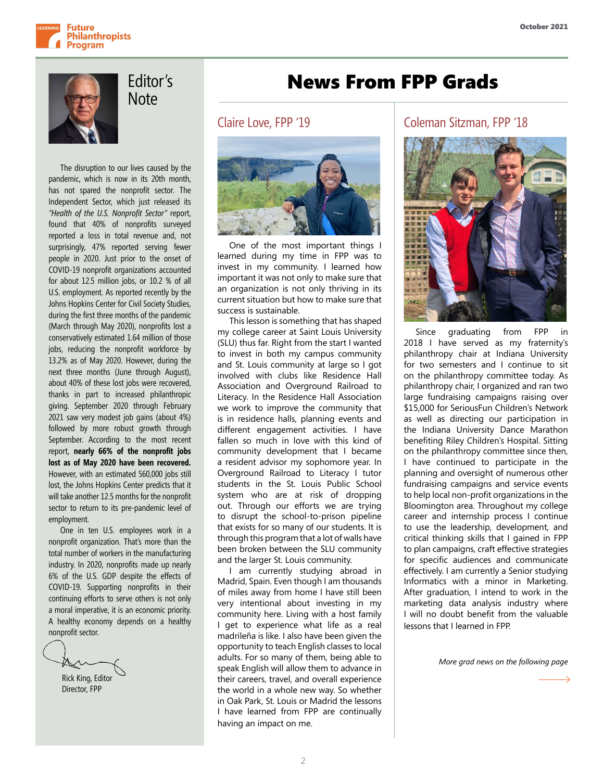



Editor's **Note** 

The disruption to our lives caused by the pandemic, which is now in its 20th month, has not spared the nonprofit sector. The Independent Sector, which just released its *"Health of the U.S. Nonprofit Sector"* report, found that 40% of nonprofits surveyed reported a loss in total revenue and, not surprisingly, 47% reported serving fewer people in 2020. Just prior to the onset of COVID-19 nonprofit organizations accounted for about 12.5 million jobs, or 10.2 % of all U.S. employment. As reported recently by the Johns Hopkins Center for Civil Society Studies, during the first three months of the pandemic (March through May 2020), nonprofits lost a conservatively estimated 1.64 million of those jobs, reducing the nonprofit workforce by 13.2% as of May 2020. However, during the next three months (June through August), about 40% of these lost jobs were recovered, thanks in part to increased philanthropic giving. September 2020 through February 2021 saw very modest job gains (about 4%) followed by more robust growth through September. According to the most recent report, **nearly 66% of the nonprofit jobs lost as of May 2020 have been recovered.** However, with an estimated 560,000 jobs still lost, the Johns Hopkins Center predicts that it will take another 12.5 months for the nonprofit sector to return to its pre-pandemic level of employment.

One in ten U.S. employees work in a nonprofit organization. That's more than the total number of workers in the manufacturing industry. In 2020, nonprofits made up nearly 6% of the U.S. GDP despite the effects of COVID-19. Supporting nonprofits in their continuing efforts to serve others is not only a moral imperative, it is an economic priority. A healthy economy depends on a healthy nonprofit sector.

Rick King, Editor Director, FPP

### News From FPP Grads

#### Claire Love, FPP '19



One of the most important things I learned during my time in FPP was to invest in my community. I learned how important it was not only to make sure that an organization is not only thriving in its current situation but how to make sure that success is sustainable.

This lesson is something that has shaped my college career at Saint Louis University (SLU) thus far. Right from the start I wanted to invest in both my campus community and St. Louis community at large so I got involved with clubs like Residence Hall Association and Overground Railroad to Literacy. In the Residence Hall Association we work to improve the community that is in residence halls, planning events and different engagement activities. I have fallen so much in love with this kind of community development that I became a resident advisor my sophomore year. In Overground Railroad to Literacy I tutor students in the St. Louis Public School system who are at risk of dropping out. Through our efforts we are trying to disrupt the school-to-prison pipeline that exists for so many of our students. It is through this program that a lot of walls have been broken between the SLU community and the larger St. Louis community.

I am currently studying abroad in Madrid, Spain. Even though I am thousands of miles away from home I have still been very intentional about investing in my community here. Living with a host family I get to experience what life as a real madrileña is like. I also have been given the opportunity to teach English classes to local adults. For so many of them, being able to speak English will allow them to advance in their careers, travel, and overall experience the world in a whole new way. So whether in Oak Park, St. Louis or Madrid the lessons I have learned from FPP are continually having an impact on me.

#### Coleman Sitzman, FPP '18



Since graduating from FPP in 2018 I have served as my fraternity's philanthropy chair at Indiana University for two semesters and I continue to sit on the philanthropy committee today. As philanthropy chair, I organized and ran two large fundraising campaigns raising over \$15,000 for SeriousFun Children's Network as well as directing our participation in the Indiana University Dance Marathon benefiting Riley Children's Hospital. Sitting on the philanthropy committee since then, I have continued to participate in the planning and oversight of numerous other fundraising campaigns and service events to help local non-profit organizations in the Bloomington area. Throughout my college career and internship process I continue to use the leadership, development, and critical thinking skills that I gained in FPP to plan campaigns, craft effective strategies for specific audiences and communicate effectively. I am currently a Senior studying Informatics with a minor in Marketing. After graduation, I intend to work in the marketing data analysis industry where I will no doubt benefit from the valuable lessons that I learned in FPP.

*More grad news on the following page*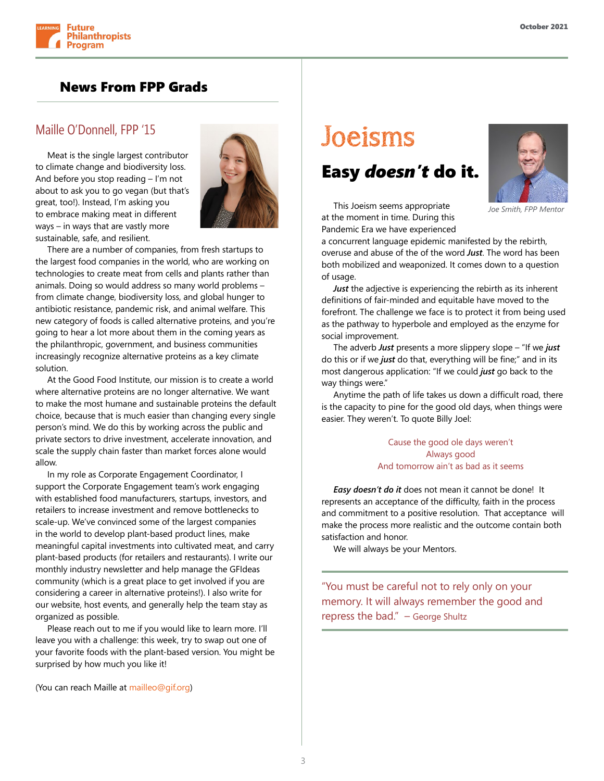

### News From FPP Grads

#### Maille O'Donnell, FPP '15

Meat is the single largest contributor to climate change and biodiversity loss. And before you stop reading – I'm not about to ask you to go vegan (but that's great, too!). Instead, I'm asking you to embrace making meat in different ways – in ways that are vastly more sustainable, safe, and resilient.



There are a number of companies, from fresh startups to the largest food companies in the world, who are working on technologies to create meat from cells and plants rather than animals. Doing so would address so many world problems – from climate change, biodiversity loss, and global hunger to antibiotic resistance, pandemic risk, and animal welfare. This new category of foods is called alternative proteins, and you're going to hear a lot more about them in the coming years as the philanthropic, government, and business communities increasingly recognize alternative proteins as a key climate solution.

At the Good Food Institute, our mission is to create a world where alternative proteins are no longer alternative. We want to make the most humane and sustainable proteins the default choice, because that is much easier than changing every single person's mind. We do this by working across the public and private sectors to drive investment, accelerate innovation, and scale the supply chain faster than market forces alone would allow.

In my role as Corporate Engagement Coordinator, I support the Corporate Engagement team's work engaging with established food manufacturers, startups, investors, and retailers to increase investment and remove bottlenecks to scale-up. We've convinced some of the largest companies in the world to develop plant-based product lines, make meaningful capital investments into cultivated meat, and carry plant-based products (for retailers and restaurants). I write our monthly industry newsletter and help manage the GFIdeas community (which is a great place to get involved if you are considering a career in alternative proteins!). I also write for our website, host events, and generally help the team stay as organized as possible.

Please reach out to me if you would like to learn more. I'll leave you with a challenge: this week, try to swap out one of your favorite foods with the plant-based version. You might be surprised by how much you like it!

(You can reach Maille at mailleo@gif.org)

# Joeisms

### Easy *doesn't* do it.



This Joeism seems appropriate at the moment in time. During this Pandemic Era we have experienced

a concurrent language epidemic manifested by the rebirth, overuse and abuse of the of the word *Just*. The word has been both mobilized and weaponized. It comes down to a question of usage.

*Just* the adjective is experiencing the rebirth as its inherent definitions of fair-minded and equitable have moved to the forefront. The challenge we face is to protect it from being used as the pathway to hyperbole and employed as the enzyme for social improvement.

The adverb *Just* presents a more slippery slope – "If we *just* do this or if we *just* do that, everything will be fine;" and in its most dangerous application: "If we could *just* go back to the way things were."

Anytime the path of life takes us down a difficult road, there is the capacity to pine for the good old days, when things were easier. They weren't. To quote Billy Joel:

> Cause the good ole days weren't Always good And tomorrow ain't as bad as it seems

*Easy doesn't do it* does not mean it cannot be done! It represents an acceptance of the difficulty, faith in the process and commitment to a positive resolution. That acceptance will make the process more realistic and the outcome contain both satisfaction and honor.

We will always be your Mentors.

"You must be careful not to rely only on your memory. It will always remember the good and repress the bad." – George Shultz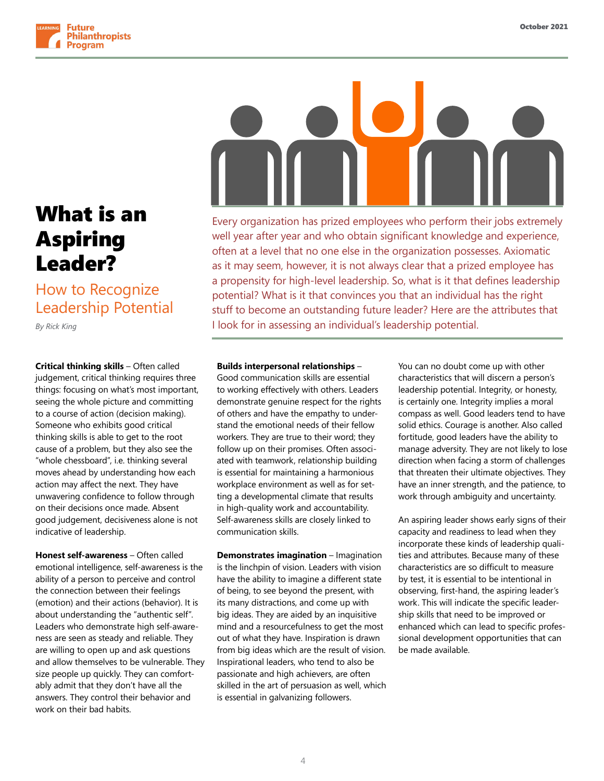

## What is an Aspiring Leader?

### How to Recognize Leadership Potential

*By Rick King*

**Critical thinking skills** – Often called judgement, critical thinking requires three things: focusing on what's most important, seeing the whole picture and committing to a course of action (decision making). Someone who exhibits good critical thinking skills is able to get to the root cause of a problem, but they also see the "whole chessboard", i.e. thinking several moves ahead by understanding how each action may affect the next. They have unwavering confidence to follow through on their decisions once made. Absent good judgement, decisiveness alone is not indicative of leadership.

**Honest self-awareness** – Often called emotional intelligence, self-awareness is the ability of a person to perceive and control the connection between their feelings (emotion) and their actions (behavior). It is about understanding the "authentic self". Leaders who demonstrate high self-awareness are seen as steady and reliable. They are willing to open up and ask questions and allow themselves to be vulnerable. They size people up quickly. They can comfortably admit that they don't have all the answers. They control their behavior and work on their bad habits.

Every organization has prized employees who perform their jobs extremely well year after year and who obtain significant knowledge and experience, often at a level that no one else in the organization possesses. Axiomatic as it may seem, however, it is not always clear that a prized employee has a propensity for high-level leadership. So, what is it that defines leadership potential? What is it that convinces you that an individual has the right stuff to become an outstanding future leader? Here are the attributes that I look for in assessing an individual's leadership potential.

#### **Builds interpersonal relationships** –

Good communication skills are essential to working effectively with others. Leaders demonstrate genuine respect for the rights of others and have the empathy to understand the emotional needs of their fellow workers. They are true to their word; they follow up on their promises. Often associated with teamwork, relationship building is essential for maintaining a harmonious workplace environment as well as for setting a developmental climate that results in high-quality work and accountability. Self-awareness skills are closely linked to communication skills.

**Demonstrates imagination** – Imagination is the linchpin of vision. Leaders with vision have the ability to imagine a different state of being, to see beyond the present, with its many distractions, and come up with big ideas. They are aided by an inquisitive mind and a resourcefulness to get the most out of what they have. Inspiration is drawn from big ideas which are the result of vision. Inspirational leaders, who tend to also be passionate and high achievers, are often skilled in the art of persuasion as well, which is essential in galvanizing followers.

You can no doubt come up with other characteristics that will discern a person's leadership potential. Integrity, or honesty, is certainly one. Integrity implies a moral compass as well. Good leaders tend to have solid ethics. Courage is another. Also called fortitude, good leaders have the ability to manage adversity. They are not likely to lose direction when facing a storm of challenges that threaten their ultimate objectives. They have an inner strength, and the patience, to work through ambiguity and uncertainty.

An aspiring leader shows early signs of their capacity and readiness to lead when they incorporate these kinds of leadership qualities and attributes. Because many of these characteristics are so difficult to measure by test, it is essential to be intentional in observing, first-hand, the aspiring leader's work. This will indicate the specific leadership skills that need to be improved or enhanced which can lead to specific professional development opportunities that can be made available.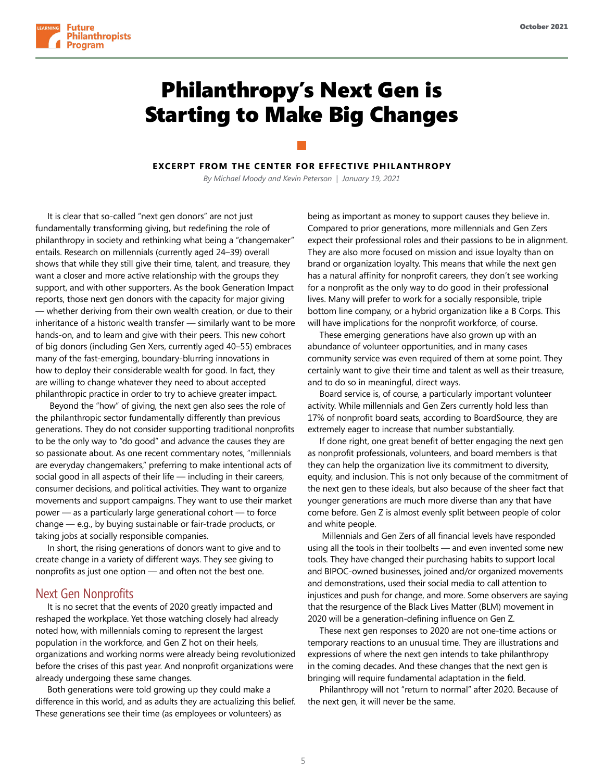

### Philanthropy's Next Gen is Starting to Make Big Changes

**EXCERPT FROM THE CENTER FOR EFFECTIVE PHILANTHROPY**

*By Michael Moody and Kevin Peterson | January 19, 2021*

It is clear that so-called "next gen donors" are not just fundamentally transforming giving, but redefining the role of philanthropy in society and rethinking what being a "changemaker" entails. Research on millennials (currently aged 24–39) overall shows that while they still give their time, talent, and treasure, they want a closer and more active relationship with the groups they support, and with other supporters. As the book Generation Impact reports, those next gen donors with the capacity for major giving — whether deriving from their own wealth creation, or due to their inheritance of a historic wealth transfer — similarly want to be more hands-on, and to learn and give with their peers. This new cohort of big donors (including Gen Xers, currently aged 40–55) embraces many of the fast-emerging, boundary-blurring innovations in how to deploy their considerable wealth for good. In fact, they are willing to change whatever they need to about accepted philanthropic practice in order to try to achieve greater impact.

 Beyond the "how" of giving, the next gen also sees the role of the philanthropic sector fundamentally differently than previous generations. They do not consider supporting traditional nonprofits to be the only way to "do good" and advance the causes they are so passionate about. As one recent commentary notes, "millennials are everyday changemakers," preferring to make intentional acts of social good in all aspects of their life — including in their careers, consumer decisions, and political activities. They want to organize movements and support campaigns. They want to use their market power — as a particularly large generational cohort — to force change — e.g., by buying sustainable or fair-trade products, or taking jobs at socially responsible companies.

In short, the rising generations of donors want to give and to create change in a variety of different ways. They see giving to nonprofits as just one option — and often not the best one.

#### Next Gen Nonprofits

It is no secret that the events of 2020 greatly impacted and reshaped the workplace. Yet those watching closely had already noted how, with millennials coming to represent the largest population in the workforce, and Gen Z hot on their heels, organizations and working norms were already being revolutionized before the crises of this past year. And nonprofit organizations were already undergoing these same changes.

Both generations were told growing up they could make a difference in this world, and as adults they are actualizing this belief. These generations see their time (as employees or volunteers) as

being as important as money to support causes they believe in. Compared to prior generations, more millennials and Gen Zers expect their professional roles and their passions to be in alignment. They are also more focused on mission and issue loyalty than on brand or organization loyalty. This means that while the next gen has a natural affinity for nonprofit careers, they don't see working for a nonprofit as the only way to do good in their professional lives. Many will prefer to work for a socially responsible, triple bottom line company, or a hybrid organization like a B Corps. This will have implications for the nonprofit workforce, of course.

These emerging generations have also grown up with an abundance of volunteer opportunities, and in many cases community service was even required of them at some point. They certainly want to give their time and talent as well as their treasure, and to do so in meaningful, direct ways.

Board service is, of course, a particularly important volunteer activity. While millennials and Gen Zers currently hold less than 17% of nonprofit board seats, according to BoardSource, they are extremely eager to increase that number substantially.

If done right, one great benefit of better engaging the next gen as nonprofit professionals, volunteers, and board members is that they can help the organization live its commitment to diversity, equity, and inclusion. This is not only because of the commitment of the next gen to these ideals, but also because of the sheer fact that younger generations are much more diverse than any that have come before. Gen Z is almost evenly split between people of color and white people.

 Millennials and Gen Zers of all financial levels have responded using all the tools in their toolbelts — and even invented some new tools. They have changed their purchasing habits to support local and BIPOC-owned businesses, joined and/or organized movements and demonstrations, used their social media to call attention to injustices and push for change, and more. Some observers are saying that the resurgence of the Black Lives Matter (BLM) movement in 2020 will be a generation-defining influence on Gen Z.

These next gen responses to 2020 are not one-time actions or temporary reactions to an unusual time. They are illustrations and expressions of where the next gen intends to take philanthropy in the coming decades. And these changes that the next gen is bringing will require fundamental adaptation in the field.

Philanthropy will not "return to normal" after 2020. Because of the next gen, it will never be the same.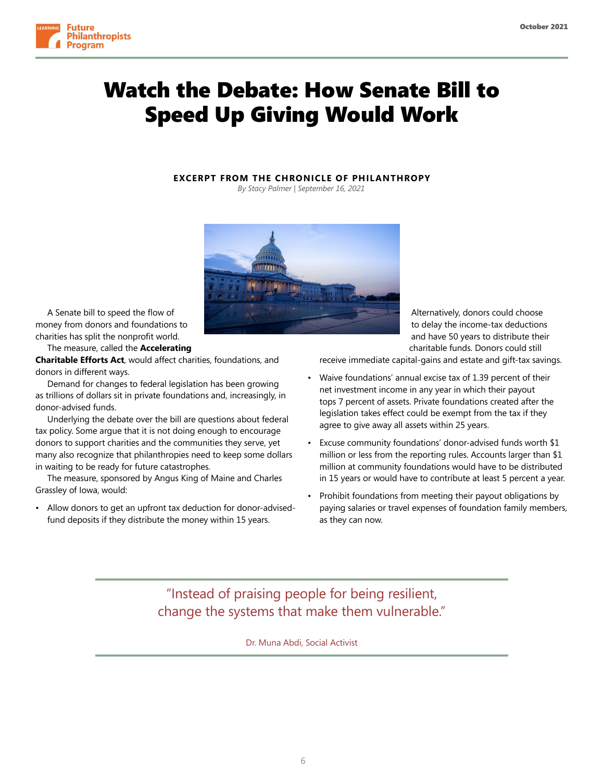

### Watch the Debate: How Senate Bill to Speed Up Giving Would Work

#### **EXCERPT FROM THE CHRONICLE OF PHILANTHROPY**

*By Stacy Palmer | September 16, 2021* 



A Senate bill to speed the flow of money from donors and foundations to charities has split the nonprofit world.

The measure, called the **Accelerating** 

**Charitable Efforts Act**, would affect charities, foundations, and donors in different ways.

Demand for changes to federal legislation has been growing as trillions of dollars sit in private foundations and, increasingly, in donor-advised funds.

Underlying the debate over the bill are questions about federal tax policy. Some argue that it is not doing enough to encourage donors to support charities and the communities they serve, yet many also recognize that philanthropies need to keep some dollars in waiting to be ready for future catastrophes.

The measure, sponsored by Angus King of Maine and Charles Grassley of Iowa, would:

• Allow donors to get an upfront tax deduction for donor-advisedfund deposits if they distribute the money within 15 years.

Alternatively, donors could choose to delay the income-tax deductions and have 50 years to distribute their charitable funds. Donors could still

receive immediate capital-gains and estate and gift-tax savings.

- Waive foundations' annual excise tax of 1.39 percent of their net investment income in any year in which their payout tops 7 percent of assets. Private foundations created after the legislation takes effect could be exempt from the tax if they agree to give away all assets within 25 years.
- Excuse community foundations' donor-advised funds worth \$1 million or less from the reporting rules. Accounts larger than \$1 million at community foundations would have to be distributed in 15 years or would have to contribute at least 5 percent a year.
- Prohibit foundations from meeting their payout obligations by paying salaries or travel expenses of foundation family members, as they can now.

"Instead of praising people for being resilient, change the systems that make them vulnerable."

Dr. Muna Abdi, Social Activist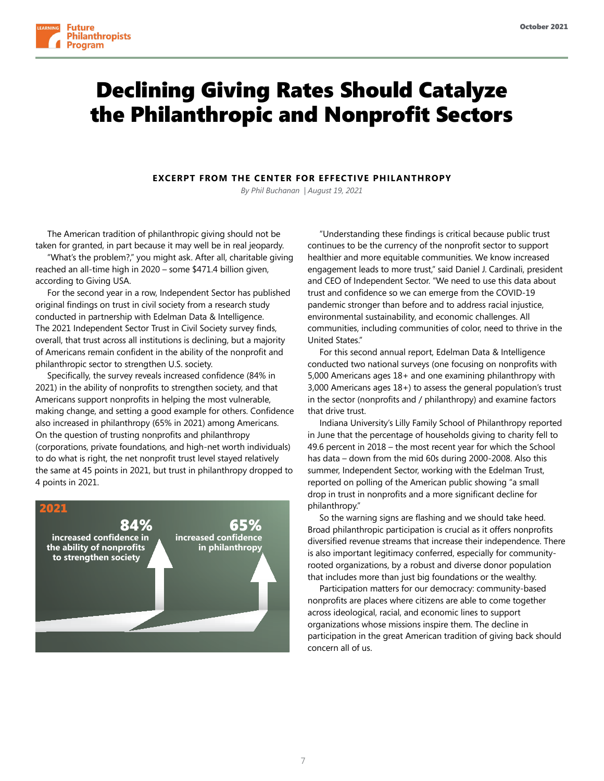



### Declining Giving Rates Should Catalyze the Philanthropic and Nonprofit Sectors

#### **EXCERPT FROM THE CENTER FOR EFFECTIVE PHILANTHROPY**

*By Phil Buchanan | August 19, 2021*

The American tradition of philanthropic giving should not be taken for granted, in part because it may well be in real jeopardy.

"What's the problem?," you might ask. After all, charitable giving reached an all-time high in 2020 – some \$471.4 billion given, according to Giving USA.

For the second year in a row, Independent Sector has published original findings on trust in civil society from a research study conducted in partnership with Edelman Data & Intelligence. The 2021 Independent Sector Trust in Civil Society survey finds, overall, that trust across all institutions is declining, but a majority of Americans remain confident in the ability of the nonprofit and philanthropic sector to strengthen U.S. society.

Specifically, the survey reveals increased confidence (84% in 2021) in the ability of nonprofits to strengthen society, and that Americans support nonprofits in helping the most vulnerable, making change, and setting a good example for others. Confidence also increased in philanthropy (65% in 2021) among Americans. On the question of trusting nonprofits and philanthropy (corporations, private foundations, and high-net worth individuals) to do what is right, the net nonprofit trust level stayed relatively the same at 45 points in 2021, but trust in philanthropy dropped to 4 points in 2021.



"Understanding these findings is critical because public trust continues to be the currency of the nonprofit sector to support healthier and more equitable communities. We know increased engagement leads to more trust," said Daniel J. Cardinali, president and CEO of Independent Sector. "We need to use this data about trust and confidence so we can emerge from the COVID-19 pandemic stronger than before and to address racial injustice, environmental sustainability, and economic challenges. All communities, including communities of color, need to thrive in the United States."

For this second annual report, Edelman Data & Intelligence conducted two national surveys (one focusing on nonprofits with 5,000 Americans ages 18+ and one examining philanthropy with 3,000 Americans ages 18+) to assess the general population's trust in the sector (nonprofits and / philanthropy) and examine factors that drive trust.

Indiana University's Lilly Family School of Philanthropy reported in June that the percentage of households giving to charity fell to 49.6 percent in 2018 – the most recent year for which the School has data – down from the mid 60s during 2000-2008. Also this summer, Independent Sector, working with the Edelman Trust, reported on polling of the American public showing "a small drop in trust in nonprofits and a more significant decline for philanthropy."

So the warning signs are flashing and we should take heed. Broad philanthropic participation is crucial as it offers nonprofits diversified revenue streams that increase their independence. There is also important legitimacy conferred, especially for communityrooted organizations, by a robust and diverse donor population that includes more than just big foundations or the wealthy.

Participation matters for our democracy: community-based nonprofits are places where citizens are able to come together across ideological, racial, and economic lines to support organizations whose missions inspire them. The decline in participation in the great American tradition of giving back should concern all of us.